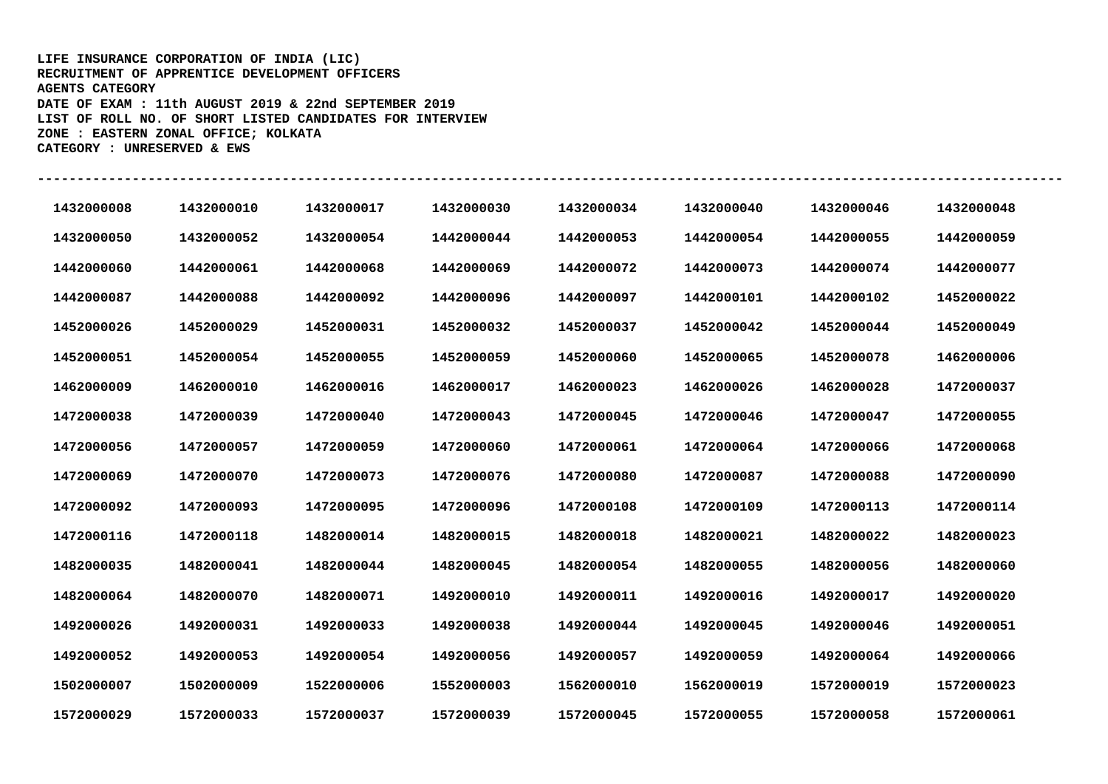## **LIFE INSURANCE CORPORATION OF INDIA (LIC) RECRUITMENT OF APPRENTICE DEVELOPMENT OFFICERS AGENTS CATEGORY DATE OF EXAM : 11th AUGUST 2019 & 22nd SEPTEMBER 2019 LIST OF ROLL NO. OF SHORT LISTED CANDIDATES FOR INTERVIEW ZONE : EASTERN ZONAL OFFICE; KOLKATA CATEGORY : UNRESERVED & EWS**

| 1432000008 | 1432000010 | 1432000017 | 1432000030 | 1432000034 | 1432000040 | 1432000046 | 1432000048 |
|------------|------------|------------|------------|------------|------------|------------|------------|
| 1432000050 | 1432000052 | 1432000054 | 1442000044 | 1442000053 | 1442000054 | 1442000055 | 1442000059 |
| 1442000060 | 1442000061 | 1442000068 | 1442000069 | 1442000072 | 1442000073 | 1442000074 | 1442000077 |
| 1442000087 | 1442000088 | 1442000092 | 1442000096 | 1442000097 | 1442000101 | 1442000102 | 1452000022 |
| 1452000026 | 1452000029 | 1452000031 | 1452000032 | 1452000037 | 1452000042 | 1452000044 | 1452000049 |
| 1452000051 | 1452000054 | 1452000055 | 1452000059 | 1452000060 | 1452000065 | 1452000078 | 1462000006 |
| 1462000009 | 1462000010 | 1462000016 | 1462000017 | 1462000023 | 1462000026 | 1462000028 | 1472000037 |
| 1472000038 | 1472000039 | 1472000040 | 1472000043 | 1472000045 | 1472000046 | 1472000047 | 1472000055 |
| 1472000056 | 1472000057 | 1472000059 | 1472000060 | 1472000061 | 1472000064 | 1472000066 | 1472000068 |
| 1472000069 | 1472000070 | 1472000073 | 1472000076 | 1472000080 | 1472000087 | 1472000088 | 1472000090 |
| 1472000092 | 1472000093 | 1472000095 | 1472000096 | 1472000108 | 1472000109 | 1472000113 | 1472000114 |
| 1472000116 | 1472000118 | 1482000014 | 1482000015 | 1482000018 | 1482000021 | 1482000022 | 1482000023 |
| 1482000035 | 1482000041 | 1482000044 | 1482000045 | 1482000054 | 1482000055 | 1482000056 | 1482000060 |
| 1482000064 | 1482000070 | 1482000071 | 1492000010 | 1492000011 | 1492000016 | 1492000017 | 1492000020 |
| 1492000026 | 1492000031 | 1492000033 | 1492000038 | 1492000044 | 1492000045 | 1492000046 | 1492000051 |
| 1492000052 | 1492000053 | 1492000054 | 1492000056 | 1492000057 | 1492000059 | 1492000064 | 1492000066 |
| 1502000007 | 1502000009 | 1522000006 | 1552000003 | 1562000010 | 1562000019 | 1572000019 | 1572000023 |
| 1572000029 | 1572000033 | 1572000037 | 1572000039 | 1572000045 | 1572000055 | 1572000058 | 1572000061 |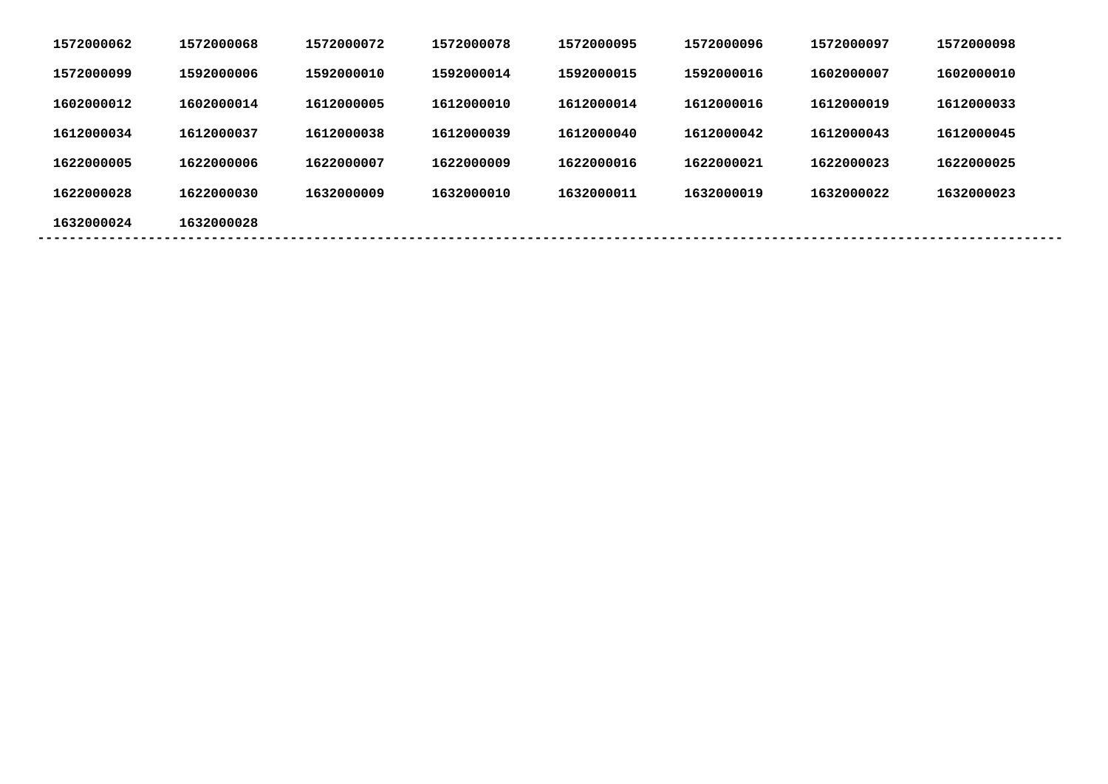| 1572000062 | 1572000068 | 1572000072 | 1572000078 | 1572000095 | 1572000096 | 1572000097 | 1572000098 |  |
|------------|------------|------------|------------|------------|------------|------------|------------|--|
| 1572000099 | 1592000006 | 1592000010 | 1592000014 | 1592000015 | 1592000016 | 1602000007 | 1602000010 |  |
| 1602000012 | 1602000014 | 1612000005 | 1612000010 | 1612000014 | 1612000016 | 1612000019 | 1612000033 |  |
| 1612000034 | 1612000037 | 1612000038 | 1612000039 | 1612000040 | 1612000042 | 1612000043 | 1612000045 |  |
| 1622000005 | 1622000006 | 1622000007 | 1622000009 | 1622000016 | 1622000021 | 1622000023 | 1622000025 |  |
| 1622000028 | 1622000030 | 1632000009 | 1632000010 | 1632000011 | 1632000019 | 1632000022 | 1632000023 |  |
| 1632000024 | 1632000028 |            |            |            |            |            |            |  |
|            |            |            |            |            |            |            |            |  |